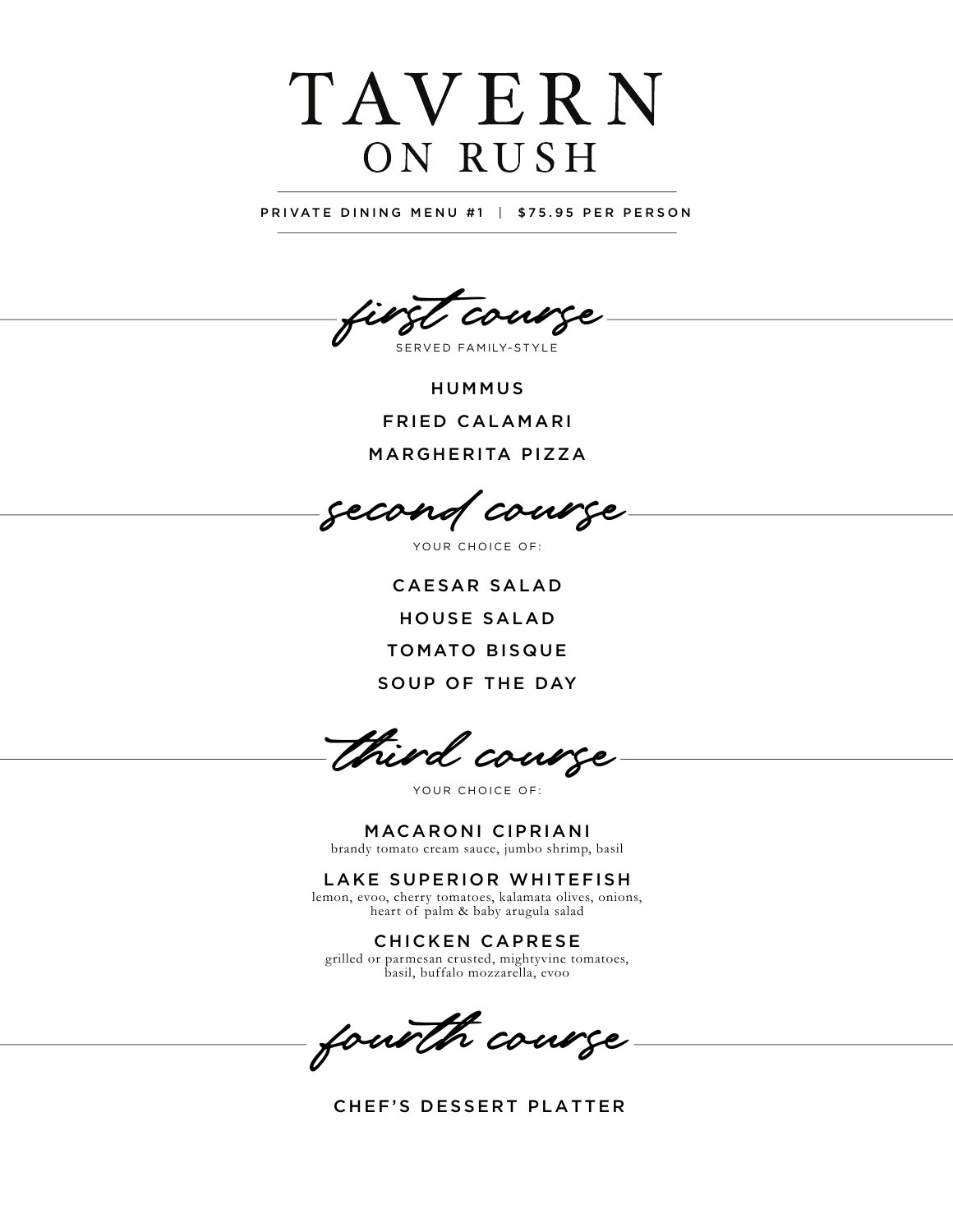## TAVERN ON RUSH

PRIVATE DINING MENU #1 | \$75.95 PER PERSON

first course

SERVED FAMILY-STYLE

HUMMUS FRIED CALAMARI MARGHERITA PIZZA

second course

YOUR CHOICE OF:

CAESAR SALAD H OUSE SALAD TOMATO BISQUE SOUP OF THE DAY

third course

YOUR CHOICE OF:

M ACARONI CIPRIANI brandy tomato cream sauce, jumbo shrimp, basil

LAKE SUPERIOR WHITEFISH

lemon, evoo, cherry tomatoes, kalamata olives, onions, heart of palm & baby arugula salad

CHICKEN CAPRESE grilled or parmesan crusted, mightyvine tomatoes, basil, buffalo mozzarella, evoo

fourth course

CHEF'S DESSERT PLATTER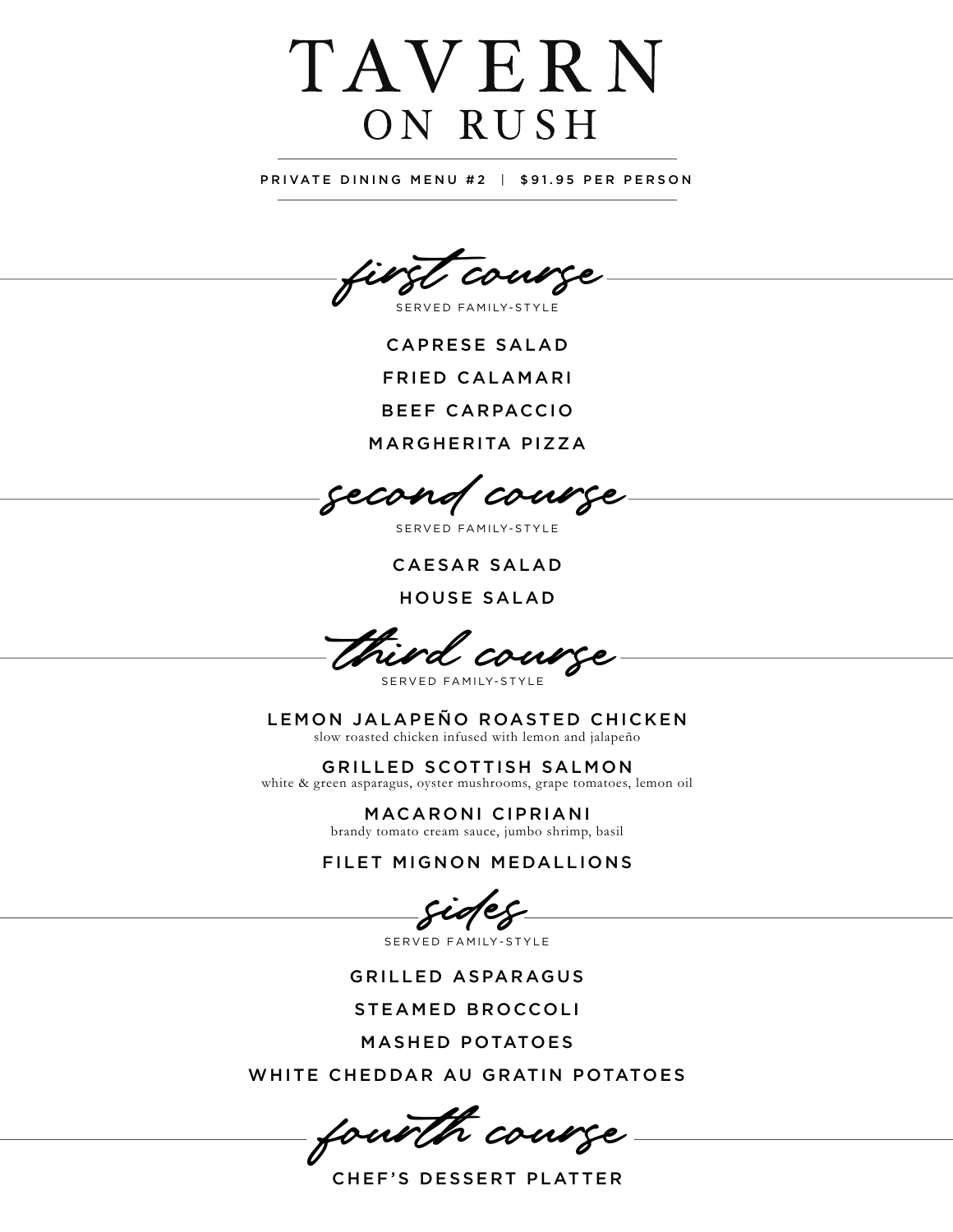## TAVERN ON RUSH

PRIVATE DINING MENU #2 | \$91.95 PER PERSON

first course

S ERVED FAMILY-STYLE

CAPRESE SALAD FRIED CALAMARI

BEEF CARPACCIO

MARGHERITA PIZZA

second course

SERVED FAMILY-STYLE

CAESAR SALAD

HOUSE SALAD

third course

S ERVED FAMILY-STYLE

LEMON JALAPEÑO ROASTED CHICKEN slow roasted chicken infused with lemon and jalapeño

GRILLED SCOTTISH SALMON white & green asparagus, oyster mushrooms, grape tomatoes, lemon oil

> MACARONI CIPRIANI brandy tomato cream sauce, jumbo shrimp, basil

FILET MIGNON MEDALLIONS

sides

SERVED FAMILY-STYLE

GRILLED ASPARAGUS

STEAMED BROCCOLI

MASHED POTATOES

WHITE CHEDDAR AU GRATIN POTATOES

fourth course

CHEF'S DESSERT PLATTER